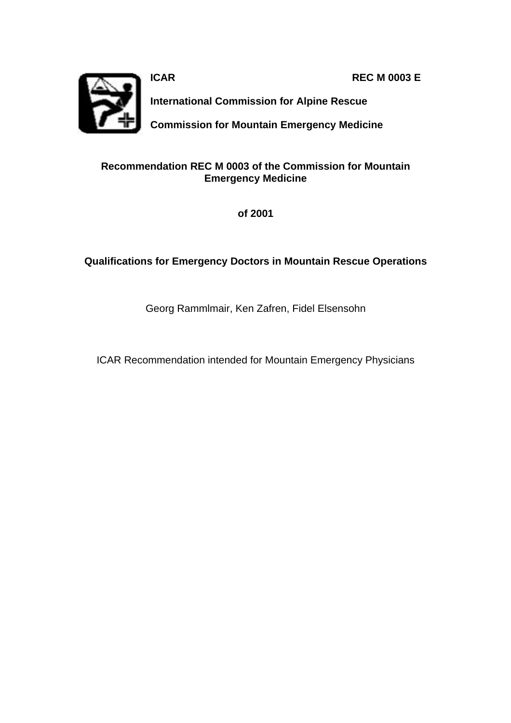**ICAR REC M 0003 E**

**International Commission for Alpine Rescue**

**Commission for Mountain Emergency Medicine**

## **Recommendation REC M 0003 of the Commission for Mountain Emergency Medicine**

**of 2001**

## **Qualifications for Emergency Doctors in Mountain Rescue Operations**

Georg Rammlmair, Ken Zafren, Fidel Elsensohn

ICAR Recommendation intended for Mountain Emergency Physicians